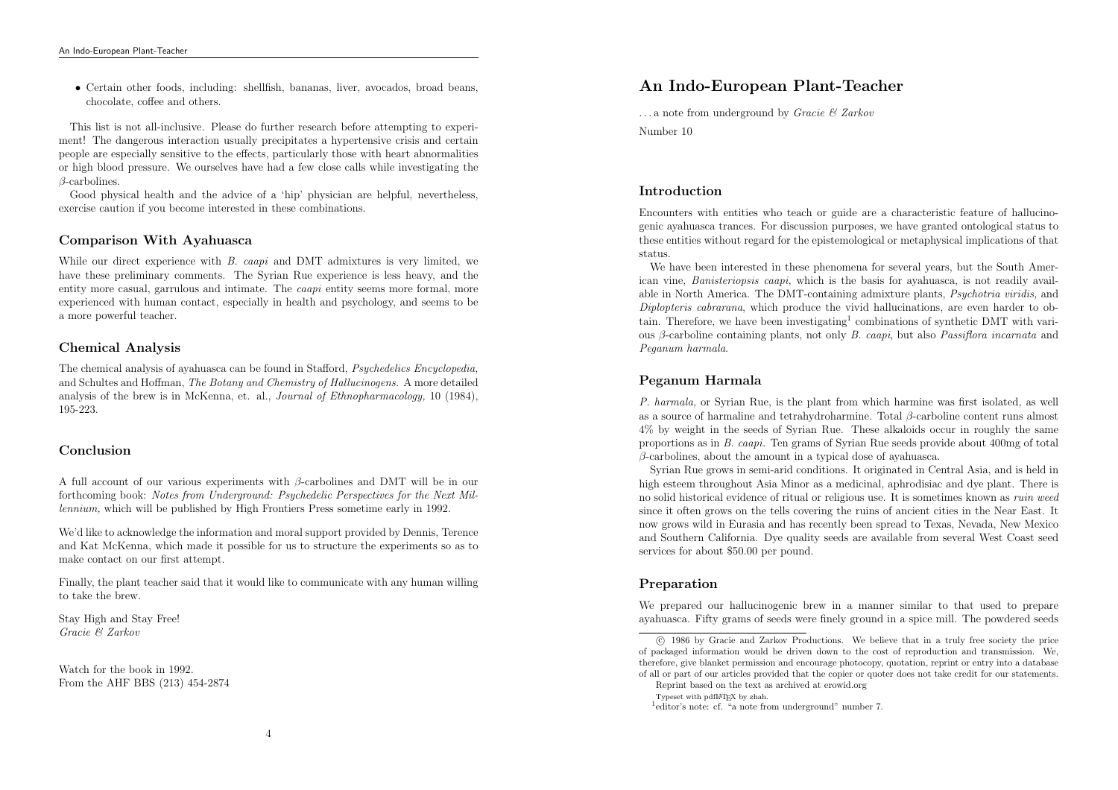• Certain other foods, including: shellfish, bananas, liver, avocados, broad beans, chocolate, coffee and others.

This list is not all-inclusive. Please do further research before attempting to experiment! The dangerous interaction usually precipitates <sup>a</sup> hypertensive crisis and certain people are especially sensitive to the effects, particularly those with heart abnormalities or high blood pressure. We ourselves have had <sup>a</sup> few close calls while investigating the β-carbolines.

 Good <sup>p</sup>hysical health and the advice of <sup>a</sup> 'hip' <sup>p</sup>hysician are helpful, nevertheless, exercise caution if you become interested in these combinations.

## Comparison With Ayahuasca

While our direct experience with  $B$ . *caapi* and DMT admixtures is very limited, we have these preliminary comments. The Syrian Rue experience is less heavy, and the entity more casual, garrulous and intimate. The *caapi* entity seems more formal, more experienced with human contact, especially in health and psychology, and seems to be a more powerful teacher.

### Chemical Analysis

The chemical analysis of ayahuasca can be found in Stafford, Psychedelics Encyclopedia, and Schultes and Hoffman, *The Botany and Chemistry of Hallucinogens*. A more detailed analysis of the brew is in McKenna, et. al., *Journal of Ethnopharmacology*, 10 (1984), 195-223.

#### Conclusion

A full account of our various experiments with  $\beta$ -carbolines and DMT will be in our forthcoming book: Notes from Underground: Psychedelic Perspectives for the Next Millennium, which will be published by High Frontiers Press sometime early in 1992.

We'd like to acknowledge the information and moral support provided by Dennis, Terence and Kat McKenna, which made it possible for us to structure the experiments so as to make contact on our first attempt.

Finally, the <sup>p</sup>lant teacher said that it would like to communicate with any human willing to take the brew.

Stay High and Stay Free! Gracie & Zarkov

Watch for the book in 1992. From the AHF BBS (213) 454-2874

# An Indo-European Plant-Teacher

 $\dots$  a note from underground by *Gracie & Zarkov* 

Number <sup>10</sup>

### Introduction

Encounters with entities who teach or guide are <sup>a</sup> characteristic feature of hallucinogenic ayahuasca trances. For discussion purposes, we have granted ontological status to these entities without regard for the epistemological or metaphysical implications of that status.

We have been interested in these phenomena for several years, but the South American vine, Banisteriopsis caapi, which is the basis for ayahuasca, is not readily available in North America. The DMT-containing admixture <sup>p</sup>lants, Psychotria viridis, and Diplopteris cabrarana, which produce the vivid hallucinations, are even harder to obtain. Therefore, we have been investigating<sup>1</sup> combinations of synthetic DMT with various β-carboline containing plants, not only  $B$ . *caapi*, but also *Passiflora incarnata* and Peganum harmala.

# Peganum Harmala

P. harmala, or Syrian Rue, is the plant from which harmine was first isolated, as well as a source of harmaline and tetrahydroharmine. Total  $\beta$ -carboline content runs almost  $4\%$  by weight in the seeds of Syrian Rue. These alkaloids occur in roughly the same proportions as in B. caapi. Ten grams of Syrian Rue seeds provide about 400mg of total  $\beta$ -carbolines, about the amount in a typical dose of ayahuasca.

Syrian Rue grows in semi-arid conditions. It originated in Central Asia, and is held in high esteem throughout Asia Minor as a medicinal, aphrodisiac and dye plant. There is no solid historical evidence of ritual or religious use. It is sometimes known as ruin weed since it often grows on the tells covering the ruins of ancient cities in the Near East. It now grows wild in Eurasia and has recently been spread to Texas, Nevada, New Mexico and Southern California. Dye quality seeds are available from several West Coast seed services for about \$50.00 per pound.

#### Preparation

We prepared our hallucinogenic brew in <sup>a</sup> manner similar to that used to prepare ayahuasca. Fifty grams of seeds were finely ground in <sup>a</sup> spice mill. The powdered seeds

c <sup>1986</sup> by Gracie and Zarkov Productions. We believe that in <sup>a</sup> truly free society the price of packaged information would be driven down to the cost of reproduction and transmission. We, therefore, <sup>g</sup>ive blanket permission and encourage <sup>p</sup>hotocopy, quotation, reprint or entry into <sup>a</sup> database of all or part of our articles provided that the copier or quoter does not take credit for our statements.

Reprint based on the text as archived at erowid.org

Typeset with pdfL<sup>AT</sup>EX by zhah.

<sup>1</sup>editor's note: cf. "a note from underground" number 7.